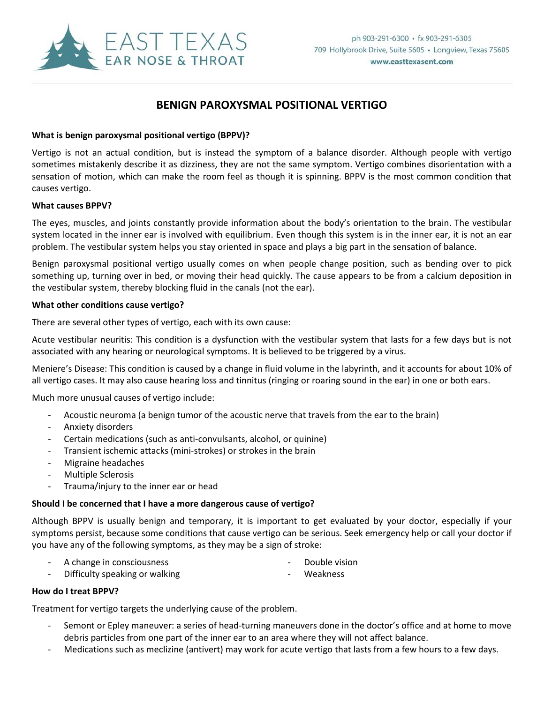

## **BENIGN PAROXYSMAL POSITIONAL VERTIGO**

### **What is benign paroxysmal positional vertigo (BPPV)?**

Vertigo is not an actual condition, but is instead the symptom of a balance disorder. Although people with vertigo sometimes mistakenly describe it as dizziness, they are not the same symptom. Vertigo combines disorientation with a sensation of motion, which can make the room feel as though it is spinning. BPPV is the most common condition that causes vertigo.

#### **What causes BPPV?**

The eyes, muscles, and joints constantly provide information about the body's orientation to the brain. The vestibular system located in the inner ear is involved with equilibrium. Even though this system is in the inner ear, it is not an ear problem. The vestibular system helps you stay oriented in space and plays a big part in the sensation of balance.

Benign paroxysmal positional vertigo usually comes on when people change position, such as bending over to pick something up, turning over in bed, or moving their head quickly. The cause appears to be from a calcium deposition in the vestibular system, thereby blocking fluid in the canals (not the ear).

#### **What other conditions cause vertigo?**

There are several other types of vertigo, each with its own cause:

Acute vestibular neuritis: This condition is a dysfunction with the vestibular system that lasts for a few days but is not associated with any hearing or neurological symptoms. It is believed to be triggered by a virus.

Meniere's Disease: This condition is caused by a change in fluid volume in the labyrinth, and it accounts for about 10% of all vertigo cases. It may also cause hearing loss and tinnitus (ringing or roaring sound in the ear) in one or both ears.

Much more unusual causes of vertigo include:

- Acoustic neuroma (a benign tumor of the acoustic nerve that travels from the ear to the brain)
- Anxiety disorders
- Certain medications (such as anti-convulsants, alcohol, or quinine)
- Transient ischemic attacks (mini-strokes) or strokes in the brain
- Migraine headaches
- Multiple Sclerosis
- Trauma/injury to the inner ear or head

#### **Should I be concerned that I have a more dangerous cause of vertigo?**

Although BPPV is usually benign and temporary, it is important to get evaluated by your doctor, especially if your symptoms persist, because some conditions that cause vertigo can be serious. Seek emergency help or call your doctor if you have any of the following symptoms, as they may be a sign of stroke:

- A change in consciousness and the set of the Double vision
- 
- Difficulty speaking or walking contained the state of the Weakness
- 

### **How do I treat BPPV?**

Treatment for vertigo targets the underlying cause of the problem.

- Semont or Epley maneuver: a series of head-turning maneuvers done in the doctor's office and at home to move debris particles from one part of the inner ear to an area where they will not affect balance.
- Medications such as meclizine (antivert) may work for acute vertigo that lasts from a few hours to a few days.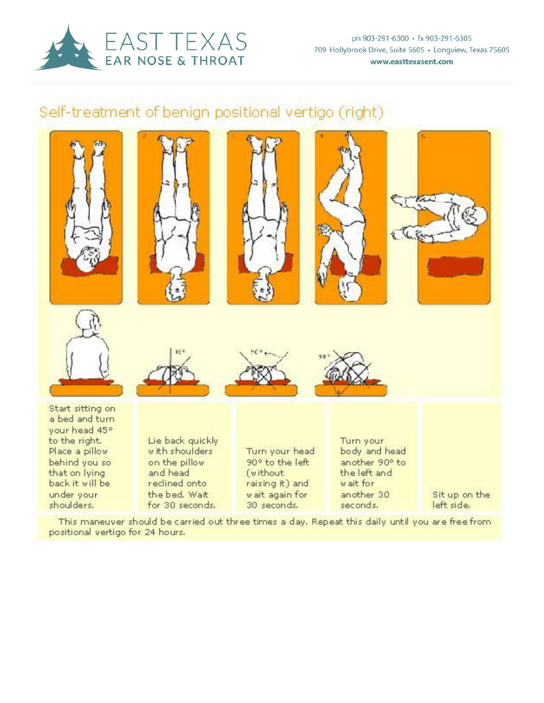

ph 903-291-6300 · fx 903-291-6305 709 Hollybrook Drive, Suite 5605 · Longview, Texas 75605 www.easttexasent.com

# Self-treatment of benign positional vertigo (right)



This maneuver should be carried out three times a day. Repeat this daily until you are free from positional vertigo for 24 hours.